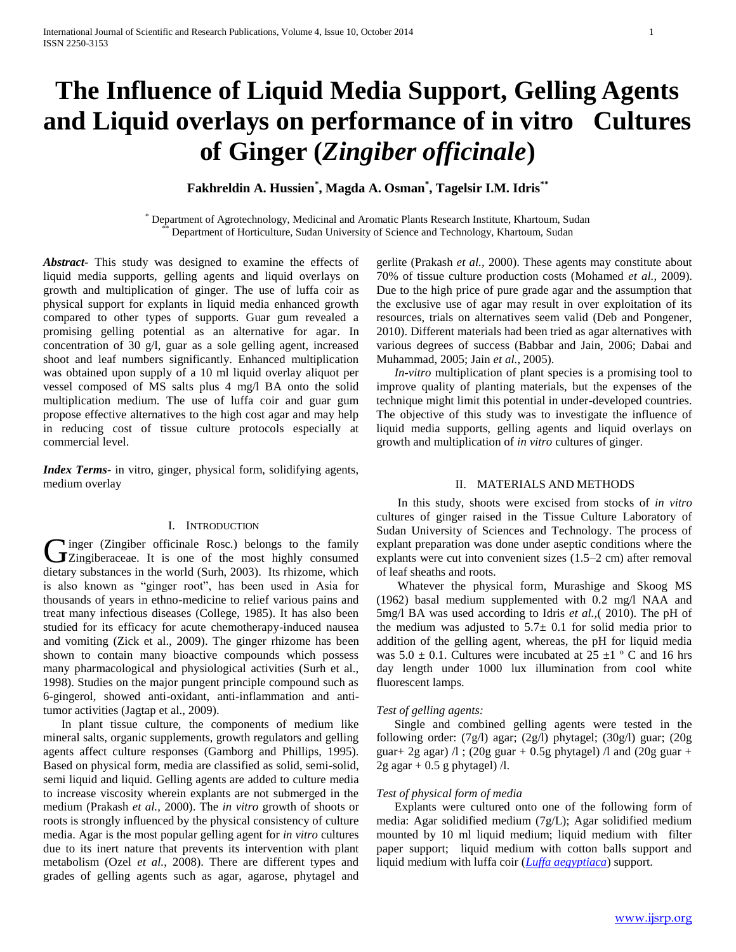# **The Influence of Liquid Media Support, Gelling Agents and Liquid overlays on performance of in vitro Cultures of Ginger (***Zingiber officinale***)**

# **Fakhreldin A. Hussien\* , Magda A. Osman\* , Tagelsir I.M. Idris\*\***

\* Department of Agrotechnology, Medicinal and Aromatic Plants Research Institute, Khartoum, Sudan Department of Horticulture, Sudan University of Science and Technology, Khartoum, Sudan

*Abstract***-** This study was designed to examine the effects of liquid media supports, gelling agents and liquid overlays on growth and multiplication of ginger. The use of luffa coir as physical support for explants in liquid media enhanced growth compared to other types of supports. Guar gum revealed a promising gelling potential as an alternative for agar. In concentration of 30 g/l, guar as a sole gelling agent, increased shoot and leaf numbers significantly. Enhanced multiplication was obtained upon supply of a 10 ml liquid overlay aliquot per vessel composed of MS salts plus 4 mg/l BA onto the solid multiplication medium. The use of luffa coir and guar gum propose effective alternatives to the high cost agar and may help in reducing cost of tissue culture protocols especially at commercial level.

*Index Terms*- in vitro, ginger, physical form, solidifying agents, medium overlay

# I. INTRODUCTION

 $\blacksquare$ inger (Zingiber officinale Rosc.) belongs to the family Ginger (Zingiber officinale Rosc.) belongs to the family Chapteraceae. It is one of the most highly consumed dietary substances in the world (Surh, 2003). Its rhizome, which is also known as "ginger root", has been used in Asia for thousands of years in ethno-medicine to relief various pains and treat many infectious diseases (College, 1985). It has also been studied for its efficacy for acute chemotherapy-induced nausea and vomiting (Zick et al., 2009). The ginger rhizome has been shown to contain many bioactive compounds which possess many pharmacological and physiological activities (Surh et al., 1998). Studies on the major pungent principle compound such as 6-gingerol, showed anti-oxidant, anti-inflammation and antitumor activities (Jagtap et al., 2009).

 In plant tissue culture, the components of medium like mineral salts, organic supplements, growth regulators and gelling agents affect culture responses (Gamborg and Phillips, 1995). Based on physical form, media are classified as solid, semi-solid, semi liquid and liquid. Gelling agents are added to culture media to increase viscosity wherein explants are not submerged in the medium (Prakash *et al.,* 2000). The *in vitro* growth of shoots or roots is strongly influenced by the physical consistency of culture media. Agar is the most popular gelling agent for *in vitro* cultures due to its inert nature that prevents its intervention with plant metabolism (Ozel *et al.*, 2008). There are different types and grades of gelling agents such as agar, agarose, phytagel and

gerlite (Prakash *et al.,* 2000). These agents may constitute about 70% of tissue culture production costs (Mohamed *et al.*, 2009). Due to the high price of pure grade agar and the assumption that the exclusive use of agar may result in over exploitation of its resources, trials on alternatives seem valid (Deb and Pongener, 2010). Different materials had been tried as agar alternatives with various degrees of success (Babbar and Jain, 2006; Dabai and Muhammad, 2005; Jain *et al.,* 2005).

 *In-vitro* multiplication of plant species is a promising tool to improve quality of planting materials, but the expenses of the technique might limit this potential in under-developed countries. The objective of this study was to investigate the influence of liquid media supports, gelling agents and liquid overlays on growth and multiplication of *in vitro* cultures of ginger.

#### II. MATERIALS AND METHODS

 In this study, shoots were excised from stocks of *in vitro*  cultures of ginger raised in the Tissue Culture Laboratory of Sudan University of Sciences and Technology. The process of explant preparation was done under aseptic conditions where the explants were cut into convenient sizes (1.5–2 cm) after removal of leaf sheaths and roots.

 Whatever the physical form, Murashige and Skoog MS (1962) basal medium supplemented with 0.2 mg/l NAA and 5mg/l BA was used according to Idris *et al.,*( 2010). The pH of the medium was adjusted to  $5.7\pm 0.1$  for solid media prior to addition of the gelling agent, whereas, the pH for liquid media was  $5.0 \pm 0.1$ . Cultures were incubated at  $25 \pm 1$  ° C and 16 hrs day length under 1000 lux illumination from cool white fluorescent lamps.

# *Test of gelling agents:*

 Single and combined gelling agents were tested in the following order: (7g/l) agar; (2g/l) phytagel; (30g/l) guar; (20g guar + 2g agar)  $\pi$  ; (20g guar + 0.5g phytagel)  $\pi$  and (20g guar +  $2g$  agar + 0.5 g phytagel)  $\Lambda$ .

# *Test of physical form of media*

 Explants were cultured onto one of the following form of media: Agar solidified medium (7g/L); Agar solidified medium mounted by 10 ml liquid medium; liquid medium with filter paper support; liquid medium with cotton balls support and liquid medium with luffa coir (*[Luffa aegyptiaca](http://en.wikipedia.org/wiki/Luffa_aegyptiaca)*) support.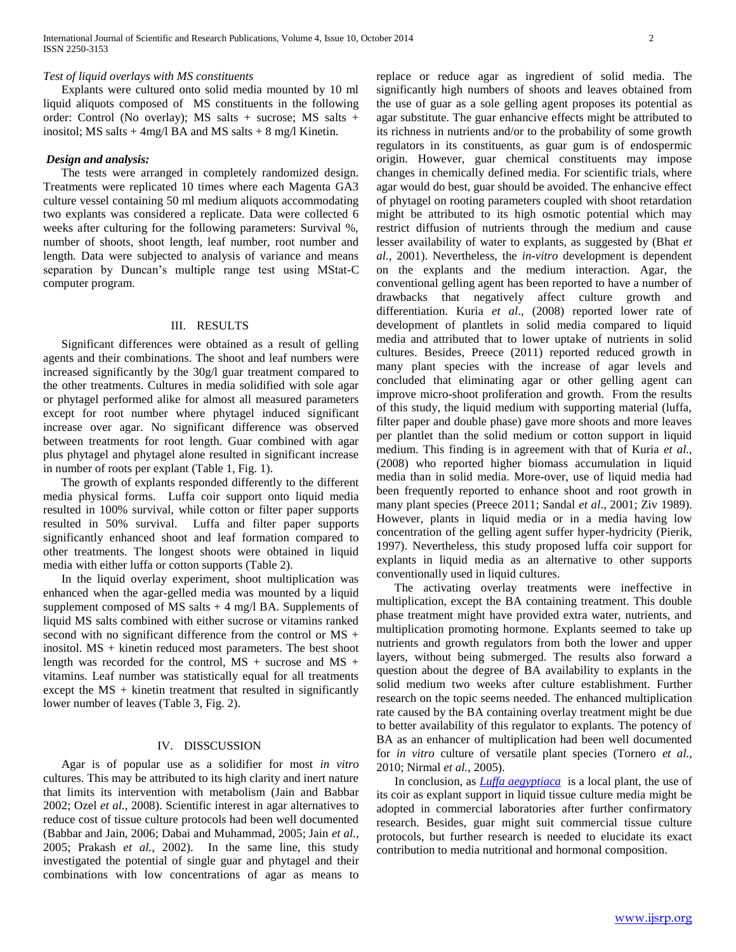Explants were cultured onto solid media mounted by 10 ml liquid aliquots composed of MS constituents in the following order: Control (No overlay); MS salts + sucrose; MS salts + inositol; MS salts  $+ 4$ mg/l BA and MS salts  $+ 8$  mg/l Kinetin.

# *Design and analysis:*

 The tests were arranged in completely randomized design. Treatments were replicated 10 times where each Magenta GA3 culture vessel containing 50 ml medium aliquots accommodating two explants was considered a replicate. Data were collected 6 weeks after culturing for the following parameters: Survival %, number of shoots, shoot length, leaf number, root number and length. Data were subjected to analysis of variance and means separation by Duncan's multiple range test using MStat-C computer program.

#### III. RESULTS

 Significant differences were obtained as a result of gelling agents and their combinations. The shoot and leaf numbers were increased significantly by the 30g/l guar treatment compared to the other treatments. Cultures in media solidified with sole agar or phytagel performed alike for almost all measured parameters except for root number where phytagel induced significant increase over agar. No significant difference was observed between treatments for root length. Guar combined with agar plus phytagel and phytagel alone resulted in significant increase in number of roots per explant (Table 1, Fig. 1).

 The growth of explants responded differently to the different media physical forms. Luffa coir support onto liquid media resulted in 100% survival, while cotton or filter paper supports resulted in 50% survival. Luffa and filter paper supports significantly enhanced shoot and leaf formation compared to other treatments. The longest shoots were obtained in liquid media with either luffa or cotton supports (Table 2).

 In the liquid overlay experiment, shoot multiplication was enhanced when the agar-gelled media was mounted by a liquid supplement composed of MS salts + 4 mg/l BA. Supplements of liquid MS salts combined with either sucrose or vitamins ranked second with no significant difference from the control or MS + inositol. MS + kinetin reduced most parameters. The best shoot length was recorded for the control,  $MS +$  sucrose and  $MS +$ vitamins. Leaf number was statistically equal for all treatments except the  $MS +$  kinetin treatment that resulted in significantly lower number of leaves (Table 3, Fig. 2).

# IV. DISSCUSSION

 Agar is of popular use as a solidifier for most *in vitro* cultures. This may be attributed to its high clarity and inert nature that limits its intervention with metabolism (Jain and Babbar 2002; Ozel *et al.,* 2008). Scientific interest in agar alternatives to reduce cost of tissue culture protocols had been well documented (Babbar and Jain, 2006; Dabai and Muhammad, 2005; Jain *et al.,* 2005; Prakash *et al.,* 2002). In the same line, this study investigated the potential of single guar and phytagel and their combinations with low concentrations of agar as means to

replace or reduce agar as ingredient of solid media. The significantly high numbers of shoots and leaves obtained from the use of guar as a sole gelling agent proposes its potential as agar substitute. The guar enhancive effects might be attributed to its richness in nutrients and/or to the probability of some growth regulators in its constituents, as guar gum is of endospermic origin. However, guar chemical constituents may impose changes in chemically defined media. For scientific trials, where agar would do best, guar should be avoided. The enhancive effect of phytagel on rooting parameters coupled with shoot retardation might be attributed to its high osmotic potential which may restrict diffusion of nutrients through the medium and cause lesser availability of water to explants, as suggested by (Bhat *et al.,* 2001). Nevertheless, the *in-vitro* development is dependent on the explants and the medium interaction. Agar, the conventional gelling agent has been reported to have a number of drawbacks that negatively affect culture growth and differentiation. Kuria *et al*., (2008) reported lower rate of development of plantlets in solid media compared to liquid media and attributed that to lower uptake of nutrients in solid cultures. Besides, Preece (2011) reported reduced growth in many plant species with the increase of agar levels and concluded that eliminating agar or other gelling agent can improve micro-shoot proliferation and growth. From the results of this study, the liquid medium with supporting material (luffa, filter paper and double phase) gave more shoots and more leaves per plantlet than the solid medium or cotton support in liquid medium. This finding is in agreement with that of Kuria *et al.,*  (2008) who reported higher biomass accumulation in liquid media than in solid media. More-over, use of liquid media had been frequently reported to enhance shoot and root growth in many plant species (Preece 2011; Sandal *et al*., 2001; Ziv 1989). However, plants in liquid media or in a media having low concentration of the gelling agent suffer hyper-hydricity (Pierik, 1997). Nevertheless, this study proposed luffa coir support for explants in liquid media as an alternative to other supports conventionally used in liquid cultures.

 The activating overlay treatments were ineffective in multiplication, except the BA containing treatment. This double phase treatment might have provided extra water, nutrients, and multiplication promoting hormone. Explants seemed to take up nutrients and growth regulators from both the lower and upper layers, without being submerged. The results also forward a question about the degree of BA availability to explants in the solid medium two weeks after culture establishment. Further research on the topic seems needed. The enhanced multiplication rate caused by the BA containing overlay treatment might be due to better availability of this regulator to explants. The potency of BA as an enhancer of multiplication had been well documented for *in vitro* culture of versatile plant species (Tornero *et al.,*  2010; Nirmal *et al.,* 2005).

 In conclusion, as *[Luffa aegyptiaca](http://en.wikipedia.org/wiki/Luffa_aegyptiaca)* is a local plant, the use of its coir as explant support in liquid tissue culture media might be adopted in commercial laboratories after further confirmatory research. Besides, guar might suit commercial tissue culture protocols, but further research is needed to elucidate its exact contribution to media nutritional and hormonal composition.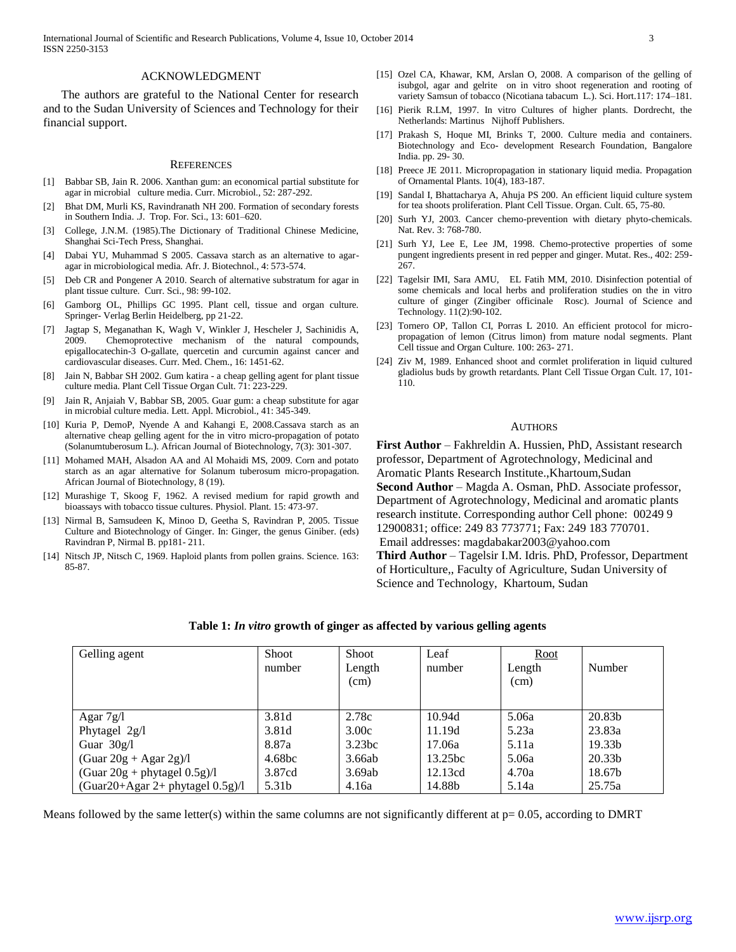International Journal of Scientific and Research Publications, Volume 4, Issue 10, October 2014 3 ISSN 2250-3153

# ACKNOWLEDGMENT

 The authors are grateful to the National Center for research and to the Sudan University of Sciences and Technology for their financial support.

#### **REFERENCES**

- [1] Babbar SB, Jain R. 2006. Xanthan gum: an economical partial substitute for agar in microbial culture media. Curr. Microbiol., 52: 287-292.
- [2] Bhat DM, Murli KS, Ravindranath NH 200. Formation of secondary forests in Southern India. .J. Trop. For. Sci., 13: 601–620.
- [3] College, J.N.M. (1985).The Dictionary of Traditional Chinese Medicine, Shanghai Sci-Tech Press, Shanghai.
- [4] Dabai YU, Muhammad S 2005. Cassava starch as an alternative to agaragar in microbiological media. Afr. J. Biotechnol., 4: 573-574.
- [5] Deb CR and Pongener A 2010. Search of alternative substratum for agar in plant tissue culture. Curr. Sci., 98: 99-102.
- [6] Gamborg OL, Phillips GC 1995. Plant cell, tissue and organ culture. Springer- Verlag Berlin Heidelberg, pp 21-22.
- [7] Jagtap S, Meganathan K, Wagh V, Winkler J, Hescheler J, Sachinidis A, 2009. Chemoprotective mechanism of the natural compounds, epigallocatechin-3 O-gallate, quercetin and curcumin against cancer and cardiovascular diseases. Curr. Med. Chem., 16: 1451-62.
- [8] Jain N, Babbar SH 2002. Gum katira a cheap gelling agent for plant tissue culture media. Plant Cell Tissue Organ Cult. 71: 223-229.
- [9] Jain R, Anjaiah V, Babbar SB, 2005. Guar gum: a cheap substitute for agar in microbial culture media. Lett. Appl. Microbiol., 41: 345-349.
- [10] Kuria P, DemoP, Nyende A and Kahangi E, 2008.Cassava starch as an alternative cheap gelling agent for the in vitro micro-propagation of potato (Solanumtuberosum L.). African Journal of Biotechnology, 7(3): 301-307.
- [11] Mohamed MAH, Alsadon AA and Al Mohaidi MS, 2009. Corn and potato starch as an agar alternative for Solanum tuberosum micro-propagation. African Journal of Biotechnology, 8 (19).
- [12] Murashige T, Skoog F, 1962. A revised medium for rapid growth and bioassays with tobacco tissue cultures. Physiol. Plant. 15: 473-97.
- [13] Nirmal B, Samsudeen K, Minoo D, Geetha S, Ravindran P, 2005. Tissue Culture and Biotechnology of Ginger. In: Ginger, the genus Giniber. (eds) Ravindran P, Nirmal B. pp181- 211.
- [14] Nitsch JP, Nitsch C, 1969. Haploid plants from pollen grains. Science. 163: 85-87.
- [15] Ozel CA, Khawar, KM, Arslan O, 2008. A comparison of the gelling of isubgol, agar and gelrite on in vitro shoot regeneration and rooting of variety Samsun of tobacco (Nicotiana tabacum L.). Sci. Hort.117: 174–181.
- [16] Pierik R.LM, 1997. In vitro Cultures of higher plants. Dordrecht, the Netherlands: Martinus Nijhoff Publishers.
- [17] Prakash S, Hoque MI, Brinks T, 2000. Culture media and containers. Biotechnology and Eco- development Research Foundation, Bangalore India. pp. 29- 30.
- [18] Preece JE 2011. Micropropagation in stationary liquid media. Propagation of Ornamental Plants. 10(4), 183-187.
- [19] Sandal I, Bhattacharya A, Ahuja PS 200. An efficient liquid culture system for tea shoots proliferation. Plant Cell Tissue. Organ. Cult. 65, 75-80.
- [20] Surh YJ, 2003. Cancer chemo-prevention with dietary phyto-chemicals. Nat. Rev. 3: 768-780.
- [21] Surh YJ, Lee E, Lee JM, 1998. Chemo-protective properties of some pungent ingredients present in red pepper and ginger. Mutat. Res., 402: 259- 267.
- [22] Tagelsir IMI, Sara AMU, EL Fatih MM, 2010. Disinfection potential of some chemicals and local herbs and proliferation studies on the in vitro culture of ginger (Zingiber officinale Rosc). Journal of Science and Technology. 11(2):90-102.
- [23] Tornero OP, Tallon CI, Porras L 2010. An efficient protocol for micropropagation of lemon (Citrus limon) from mature nodal segments. Plant Cell tissue and Organ Culture. 100: 263- 271.
- [24] Ziv M, 1989. Enhanced shoot and cormlet proliferation in liquid cultured gladiolus buds by growth retardants. Plant Cell Tissue Organ Cult. 17, 101- 110.

#### AUTHORS

**First Author** – Fakhreldin A. Hussien, PhD, Assistant research professor, Department of Agrotechnology, Medicinal and Aromatic Plants Research Institute.,Khartoum,Sudan **Second Author** – Magda A. Osman, PhD. Associate professor, Department of Agrotechnology, Medicinal and aromatic plants research institute. Corresponding author Cell phone: 00249 9 12900831; office: 249 83 773771; Fax: 249 183 770701. Email addresses: magdabakar2003@yahoo.com **Third Author** – Tagelsir I.M. Idris. PhD, Professor, Department

of Horticulture,, Faculty of Agriculture, Sudan University of Science and Technology, Khartoum, Sudan

|  |  | Table 1: In vitro growth of ginger as affected by various gelling agents |  |
|--|--|--------------------------------------------------------------------------|--|
|  |  |                                                                          |  |

| Gelling agent                          | <b>Shoot</b><br>number | Shoot<br>Length<br>(cm) | Leaf<br>number | <u>Root</u><br>Length<br>(cm) | Number             |
|----------------------------------------|------------------------|-------------------------|----------------|-------------------------------|--------------------|
| Agar $7g/l$                            | 3.81d                  | 2.78c                   | 10.94d         | 5.06a                         | 20.83b             |
| Phytagel 2g/l                          | 3.81d                  | 3.00c                   | 11.19d         | 5.23a                         | 23.83a             |
| Guar $30g/l$                           | 8.87a                  | 3.23bc                  | 17.06a         | 5.11a                         | 19.33 <sub>b</sub> |
| $(Guar 20g + Agar 2g)/l$               | 4.68bc                 | 3.66ab                  | 13.25bc        | 5.06a                         | 20.33b             |
| $(Guar 20g + phytagel 0.5g)/l$         | 3.87cd                 | 3.69ab                  | 12.13cd        | 4.70a                         | 18.67b             |
| $(Guar20+Agar 2+)$ phytagel $(0.5g)/1$ | 5.31b                  | 4.16a                   | 14.88b         | 5.14a                         | 25.75a             |

Means followed by the same letter(s) within the same columns are not significantly different at  $p= 0.05$ , according to DMRT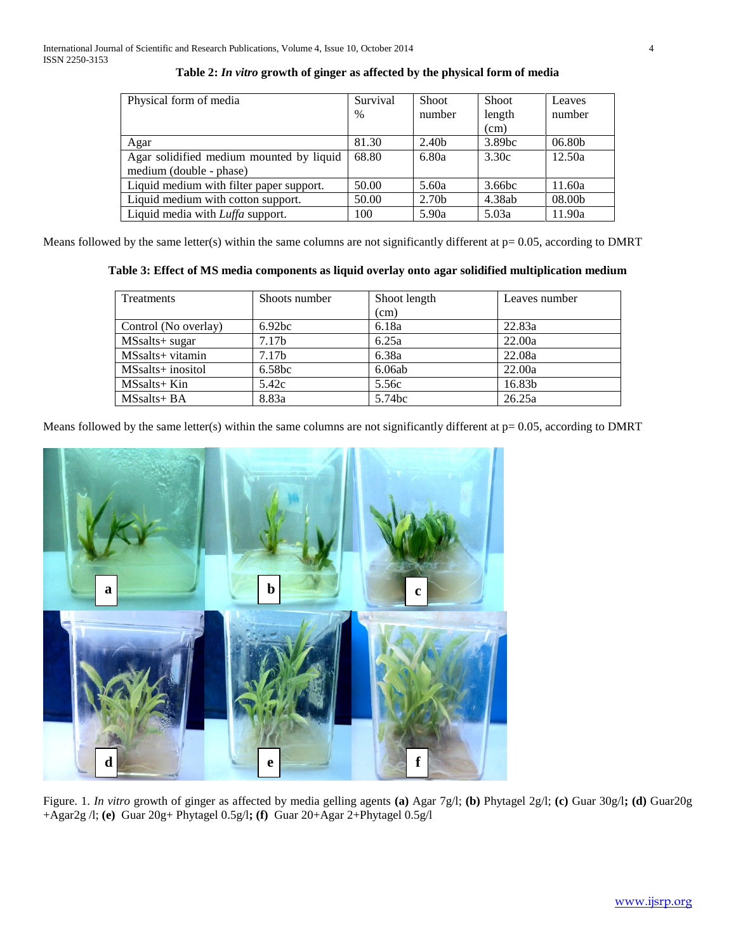| Physical form of media                   | Survival | <b>Shoot</b>      | Shoot              | Leaves |
|------------------------------------------|----------|-------------------|--------------------|--------|
|                                          | $\%$     | number            | length             | number |
|                                          |          |                   | (cm)               |        |
| Agar                                     | 81.30    | 2.40 <sub>b</sub> | 3.89 <sub>bc</sub> | 06.80b |
| Agar solidified medium mounted by liquid | 68.80    | 6.80a             | 3.30c              | 12.50a |
| medium (double - phase)                  |          |                   |                    |        |
| Liquid medium with filter paper support. | 50.00    | 5.60a             | 3.66bc             | 11.60a |
| Liquid medium with cotton support.       | 50.00    | 2.70b             | 4.38ab             | 08.00b |
| Liquid media with <i>Luffa</i> support.  | 100      | 5.90a             | 5.03a              | 11.90a |

# **Table 2:** *In vitro* **growth of ginger as affected by the physical form of media**

Means followed by the same letter(s) within the same columns are not significantly different at  $p=0.05$ , according to DMRT

|  | Table 3: Effect of MS media components as liquid overlay onto agar solidified multiplication medium |  |  |
|--|-----------------------------------------------------------------------------------------------------|--|--|
|  |                                                                                                     |  |  |

| Treatments           | Shoots number     | Shoot length       | Leaves number |
|----------------------|-------------------|--------------------|---------------|
|                      |                   | (cm)               |               |
| Control (No overlay) | 6.92bc            | 6.18a              | 22.83a        |
| MSsalts+ sugar       | 7.17 <sub>b</sub> | 6.25a              | 22.00a        |
| MSsalts+ vitamin     | 7.17 <sub>b</sub> | 6.38a              | 22.08a        |
| MSsalts+ inositol    | 6.58bc            | 6.06ab             | 22.00a        |
| $MSsalts+Kin$        | 5.42c             | 5.56c              | 16.83b        |
| $MSsalts + BA$       | 8.83a             | 5.74 <sub>bc</sub> | 26.25a        |

Means followed by the same letter(s) within the same columns are not significantly different at  $p= 0.05$ , according to DMRT



Figure. 1. *In vitro* growth of ginger as affected by media gelling agents **(a)** Agar 7g/l; **(b)** Phytagel 2g/l; **(c)** Guar 30g/l**; (d)** Guar20g +Agar2g /l; **(e)** Guar 20g+ Phytagel 0.5g/l**; (f)** Guar 20+Agar 2+Phytagel 0.5g/l